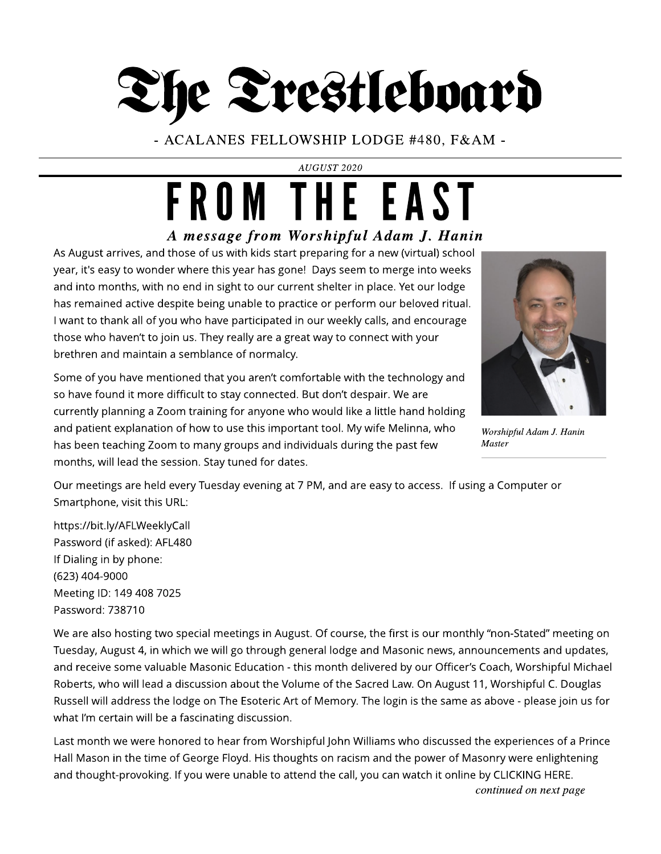The Trestleboard

- ACALANES FELLOWSHIP LODGE #480, F& AM -

**AUGUST 2020**

## **A message from Worshipful Adam J. Hanin** FROM THE EAST

As August arrives, and those of us with kids start preparing for a new (virtual) school year, it's easy to wonder where this year has gone! Days seem to merge into weeks and into months, with no end in sight to our current shelter in place. Yet our lodge has remained active despite being unable to practice or perform our beloved ritual. I want to thank all of you who have participated in our weekly calls, and encourage those who haven't to join us. They really are a great way to connect with your brethren and maintain a semblance of normalcy.

Some of you have mentioned that you aren't comfortable with the technology and so have found it more difficult to stay connected. But don't despair. We are currently planning a Zoom training for anyone who would like a little hand holding and patient explanation of how to use this important tool. My wife Melinna, who has been teaching Zoom to many groups and individuals during the past few months, will lead the session. Stay tuned for dates.



**Worshipful AdamJ. Hanin Master**

Our meetings are held every Tuesday evening at 7 PM, and are easy to access. If using a Computer or Smartphone, visit this URL:

https://bit.ly/AFLWeeklyCall Password (if asked): AFL480 If Dialing in by phone: (623) 404-9000 Meeting ID: 149 408 7025 Password: 738710

We are also hosting two special meetings in August. Of course, the first is our monthly "non-Stated" meeting on Tuesday, August 4, in which we will go through general lodge and Masonic news, announcements and updates, and receive some valuable Masonic Education - this month delivered by our Officer?s Coach, Worshipful Michael Roberts, who will lead a discussion about the Volume of the Sacred Law. On August 11, Worshipful C. Douglas Russell will address the lodge on The Esoteric Art of Memory. The login is the same as above - please join us for what I'm certain will be a fascinating discussion.

Last month we were honored to hear from Worshipful John Williams who discussed the experiences of a Prince Hall Mason in the time of George Floyd. His thoughts on racism and the power of Masonry were enlightening and thought-provoking. If you were unable to attend the call, you can watch it online by CLICKING HERE.

**continuedonnext page**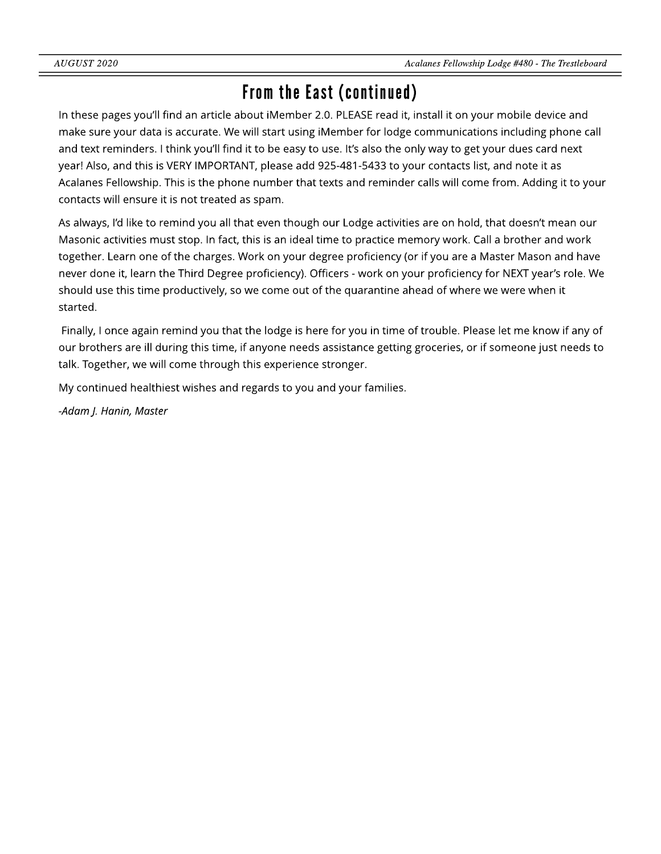### From the East (continued)

In these pages you'll find an article about iMember 2.0. PLEASE read it, install it on your mobile device and make sure your data is accurate. We will start using iMember for lodge communications including phone call and text reminders. I think you'll find it to be easy to use. It's also the only way to get your dues card next year! Also, and this is VERYIMPORTANT, please add 925-481-5433 to your contacts list, and note it as Acalanes Fellowship. This is the phone number that texts and reminder calls will come from. Adding it to your contacts will ensure it is not treated as spam.

As always, I'd like to remind you all that even though our Lodge activities are on hold, that doesn't mean our Masonic activities must stop. In fact, this is an ideal time to practice memory work. Call a brother and work together. Learn one of the charges. Work on your degree proficiency (or if you are a Master Mason and have never done it, learn the Third Degree proficiency). Officers - work on your proficiency for NEXT year's role. We should use this time productively, so we come out of the quarantine ahead of where we were when it started.

Finally, I once again remind you that the lodge is here for you in time of trouble. Please let me know if any of our brothers are ill during this time, if anyone needs assistance getting groceries, or if someone just needs to talk. Together, we will come through this experience stronger.

My continued healthiest wishes and regards to you and your families.

**-Adam J. Hanin, Master**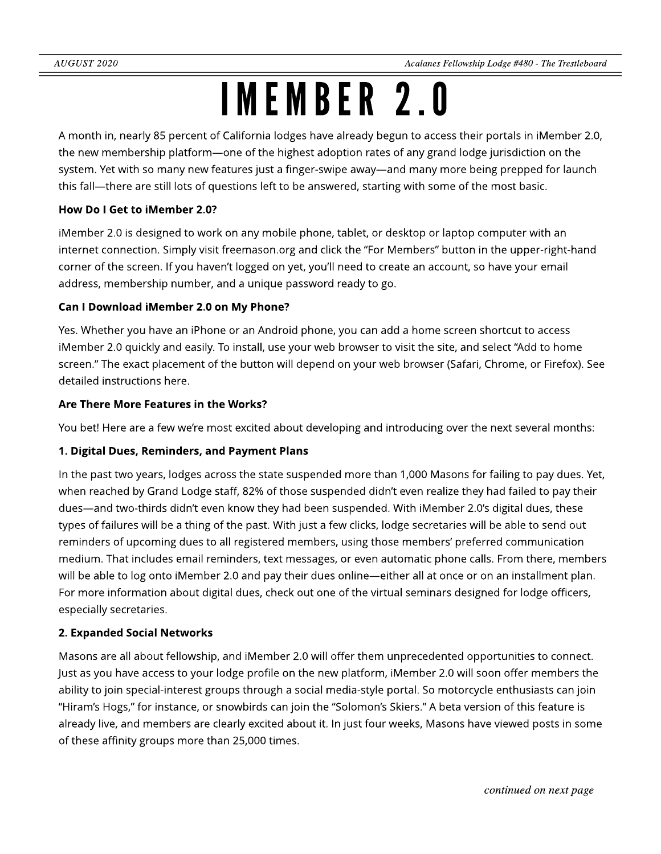## IMEMBER2.0

A month in, nearly 85 percent of California lodges have already begun to access their portals in iMember 2.0, the new membership platform—one of the highest adoption rates of any grand lodge jurisdiction on the system. Yet with so many new features just a finger-swipe away—and many more being prepped for launch this fall—there are still lots of questions left to be answered, starting with some of the most basic.

### How Do I Get to iMember 2.0?

iMember 2.0 is designed to work on any mobile phone, tablet, or desktop or laptop computer with an internet connection. Simply visit freemason.org and click the "For Members" button in the upper-right-hand corner of the screen. If you haven?t logged on yet, you?ll need to create an account, so have your email address, membership number, and a unique password ready to go.

### Can I Download iMember 2.0 on My Phone?

Yes. Whether you have an iPhone or an Android phone, you can add a home screen shortcut to access iMember 2.0 quickly and easily. To install, use your web browser to visit the site, and select "Add to home screen." The exact placement of the button will depend on your web browser (Safari, Chrome, or Firefox). See detailed instructions here.

### Are There More Features in the Works?

You bet! Here are a few we're most excited about developing and introducing over the next several months:

### 1. Digital Dues, Reminders, and Payment Plans

In the past two years, lodges across the state suspended more than 1,000 Masons for failing to pay dues. Yet, when reached by Grand Lodge staff, 82% of those suspended didn't even realize they had failed to pay their dues—and two-thirds didn't even know they had been suspended. With iMember 2.0's digital dues, these types of failures will be a thing of the past. With just a few clicks, lodge secretaries will be able to send out reminders of upcoming dues to all registered members, using those members' preferred communication medium. That includes email reminders, text messages, or even automatic phone calls. From there, members will be able to log onto iMember 2.0 and pay their dues online—either all at once or on an installment plan. For more information about digital dues, check out one of the virtual seminars designed for lodge officers, especially secretaries.

### 2. Expanded Social Networks

Masons are all about fellowship, and iMember 2.0 will offer them unprecedented opportunities to connect. Just as you have access to your lodge profile on the new platform, iMember 2.0 will soon offer members the ability to join special-interest groups through a social media-style portal. So motorcycle enthusiasts can join "Hiram's Hogs," for instance, or snowbirds can join the "Solomon's Skiers." A beta version of this feature is already live, and members are clearly excited about it. In just four weeks, Masons have viewed posts in some of these affinity groups more than 25,000 times.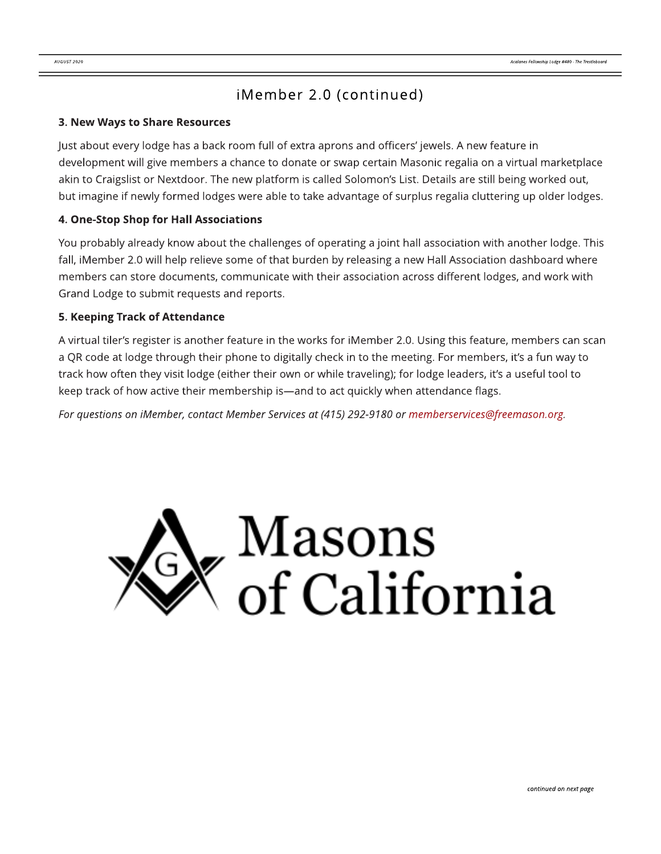### iMember 2.0 (continued)

#### 3. New Ways to Share Resources

Just about every lodge has a back room full of extra aprons and officers' jewels. A new feature in development will give members a chance to donate or swap certain Masonic regalia on a virtual marketplace akin to Craigslist or Nextdoor. The new platform is called Solomon's List. Details are still being worked out, but imagine if newly formed lodges were able to take advantage of surplus regalia cluttering up older lodges.

### 4. One-Stop Shop for Hall Associations

You probably already know about the challenges of operating a joint hall association with another lodge. This fall, iMember 2.0 will help relieve some of that burden by releasing a new Hall Association dashboard where members can store documents, communicate with their association across different lodges, and work with Grand Lodge to submit requests and reports.

### 5. Keeping Track of Attendance

A virtual tiler?s register is another feature in the works for iMember 2.0. Using this feature, members can scan a QR code at lodge through their phone to digitally check in to the meeting. For members, it's a fun way to track how often they visit lodge (either their own or while traveling); for lodge leaders, it's a useful tool to keep track of how active their membership is—and to act quickly when attendance flags.

**For questionson iMember, contact Member Servicesat (415) 292-9180 or memberservices@freemason.org.**

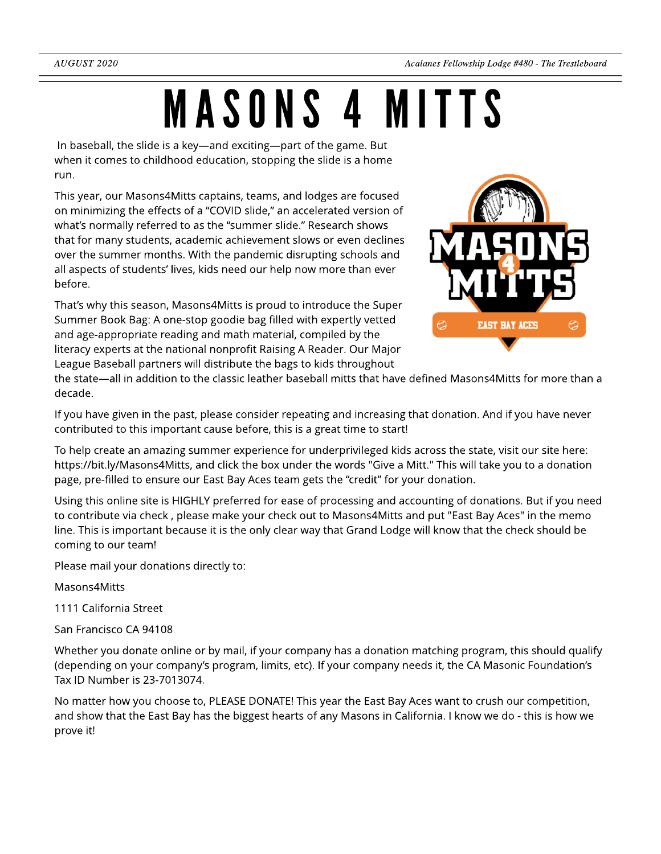# MASONS4 MITTS

In baseball, the slide is a key—and exciting—part of the game. But when it comes to childhood education, stopping the slide is a home run.

This year, our Masons4Mitts captains, teams, and lodges are focused on minimizing the effects of a "COVID slide," an accelerated version of what's normally referred to as the "summer slide." Research shows that for many students, academic achievement slows or even declines over the summer months. With the pandemic disrupting schools and all aspects of students' lives, kids need our help now more than ever before.

That's why this season, Masons4Mitts is proud to introduce the Super Summer Book Bag: A one-stop goodie bag filled with expertly vetted and age-appropriate reading and math material, compiled by the literacy experts at the national nonprofit Raising A Reader. Our Major League Baseball partners will distribute the bags to kids throughout



the state—all in addition to the classic leather baseball mitts that have defined Masons4Mitts for more than a decade.

If you have given in the past, please consider repeating and increasing that donation. And if you have never contributed to this important cause before, this is a great time to start!

To help create an amazing summer experience for underprivileged kids across the state, visit our site here: https://bit.ly/Masons4Mitts, and click the box under the words "Give a Mitt." This will take you to a donation page, pre-filled to ensure our East Bay Aces team gets the "credit" for your donation.

Using this online site is HIGHLY preferred for ease of processing and accounting of donations. But if you need to contribute via check , please make your check out to Masons4Mitts and put "East Bay Aces" in the memo line. This is important because it is the only clear way that Grand Lodge will know that the check should be coming to our team!

Please mail your donations directly to:

Masons4Mitts

1111 California Street

San Francisco CA 94108

Whether you donate online or by mail, if your company has a donation matching program, this should qualify (depending on your company?s program, limits, etc). If your company needs it, the CA Masonic Foundation?s Tax ID Number is 23-7013074.

No matter how you choose to, PLEASE DONATE! This year the East Bay Aces want to crush our competition, and show that the East Bay has the biggest hearts of any Masons in California. I know we do - this is how we prove it!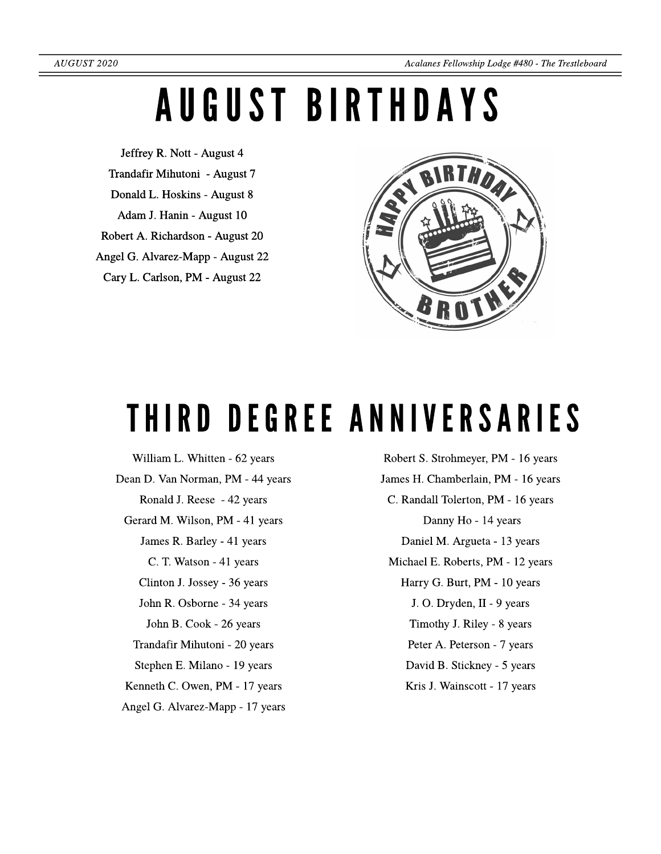## AUGUSTBIRTHDAYS

Jeffrey R. Nott - August 4 Trandafir Mihutoni - August 7 Donald L. Hoskins - August 8 Adam J. Hanin - August 10 Robert A. Richardson - August 20 Angel G. Alvarez-Mapp - August 22 Cary L. Carlson, PM - August 22



## THIRD DEGREE ANNIVERSARIES

William L. Whitten - 62 years Dean D. Van Norman, PM - 44 years Ronald J. Reese - 42 years Gerard M. Wilson, PM - 41 years James R. Barley - 41 years C. T. Watson - 41 years Clinton J. Jossey - 36 years John R. Osborne- 34 years John B. Cook - 26 years Trandafir Mihutoni - 20 years Stephen E. Milano - 19 years Kenneth C. Owen, PM - 17 years Angel G. Alvarez-Mapp - 17 years

Robert S. Strohmeyer, PM - 16 years James H. Chamberlain, PM - 16 years C. Randall Tolerton, PM - 16 years Danny Ho - 14 years Daniel M. Argueta- 13 years Michael E. Roberts, PM - 12 years Harry G. Burt, PM - 10 years J. O. Dryden, II - 9 years Timothy J. Riley - 8 years Peter A. Peterson - 7 years David B. Stickney - 5 years Kris J. Wainscott - 17 years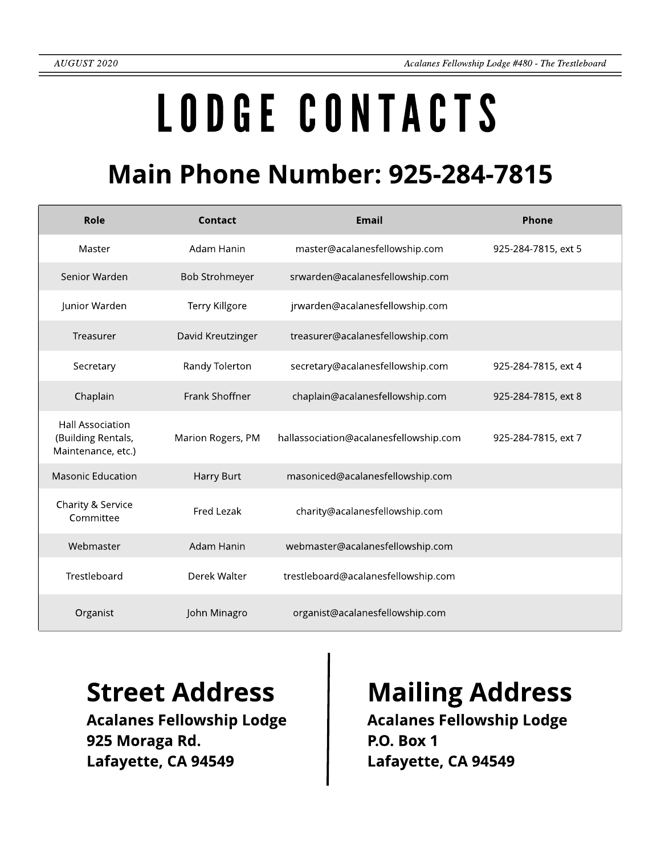# LODGECONTACTS

## **Main Phone Number: 925-284-7815**

| Role                                                                | Contact               | <b>Email</b>                           | Phone               |
|---------------------------------------------------------------------|-----------------------|----------------------------------------|---------------------|
| Master                                                              | Adam Hanin            | master@acalanesfellowship.com          | 925-284-7815, ext 5 |
| Senior Warden                                                       | <b>Bob Strohmeyer</b> | srwarden@acalanesfellowship.com        |                     |
| Junior Warden                                                       | Terry Killgore        | jrwarden@acalanesfellowship.com        |                     |
| Treasurer                                                           | David Kreutzinger     | treasurer@acalanesfellowship.com       |                     |
| Secretary                                                           | Randy Tolerton        | secretary@acalanesfellowship.com       | 925-284-7815, ext 4 |
| Chaplain                                                            | Frank Shoffner        | chaplain@acalanesfellowship.com        | 925-284-7815, ext 8 |
| <b>Hall Association</b><br>(Building Rentals,<br>Maintenance, etc.) | Marion Rogers, PM     | hallassociation@acalanesfellowship.com | 925-284-7815, ext 7 |
| <b>Masonic Education</b>                                            | Harry Burt            | masoniced@acalanesfellowship.com       |                     |
| Charity & Service<br>Committee                                      | Fred Lezak            | charity@acalanesfellowship.com         |                     |
| Webmaster                                                           | Adam Hanin            | webmaster@acalanesfellowship.com       |                     |
| Trestleboard                                                        | Derek Walter          | trestleboard@acalanesfellowship.com    |                     |
| Organist                                                            | John Minagro          | organist@acalanesfellowship.com        |                     |

Acalanes Fellowship Lodge 925 Moraga Rd. Lafayette, CA 94549

### Street Address | Mailing Address

Acalanes Fellowship Lodge P.O. Box 1 Lafayette, CA 94549